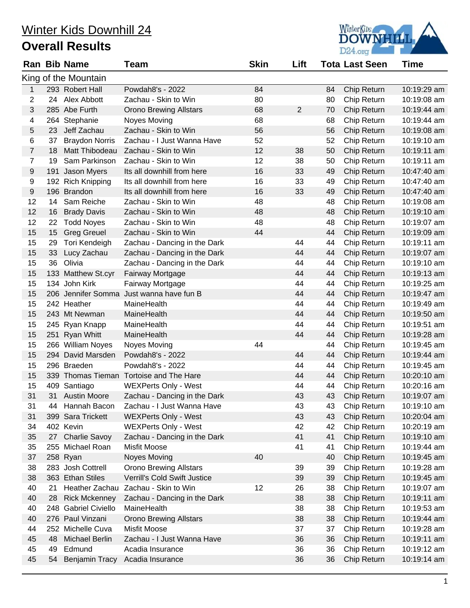

|       |     | <b>Ran Bib Name</b>     | Team                                    | <b>Skin</b> | Lift           |    | <b>Tota Last Seen</b> | <b>Time</b> |
|-------|-----|-------------------------|-----------------------------------------|-------------|----------------|----|-----------------------|-------------|
|       |     | King of the Mountain    |                                         |             |                |    |                       |             |
| 1     |     | 293 Robert Hall         | Powdah8's - 2022                        | 84          |                | 84 | Chip Return           | 10:19:29 am |
| 2     | 24  | Alex Abbott             | Zachau - Skin to Win                    | 80          |                | 80 | Chip Return           | 10:19:08 am |
| 3     |     | 285 Abe Furth           | <b>Orono Brewing Allstars</b>           | 68          | $\overline{2}$ | 70 | Chip Return           | 10:19:44 am |
| 4     |     | 264 Stephanie           | Noyes Moving                            | 68          |                | 68 | Chip Return           | 10:19:44 am |
| 5     | 23  | Jeff Zachau             | Zachau - Skin to Win                    | 56          |                | 56 | Chip Return           | 10:19:08 am |
| 6     | 37  | <b>Braydon Norris</b>   | Zachau - I Just Wanna Have              | 52          |                | 52 | Chip Return           | 10:19:10 am |
| 7     | 18  | Matt Thibodeau          | Zachau - Skin to Win                    | 12          | 38             | 50 | Chip Return           | 10:19:11 am |
| 7     | 19  | Sam Parkinson           | Zachau - Skin to Win                    | 12          | 38             | 50 | Chip Return           | 10:19:11 am |
| 9     | 191 | Jason Myers             | Its all downhill from here              | 16          | 33             | 49 | Chip Return           | 10:47:40 am |
| 9     |     | 192 Rich Knipping       | Its all downhill from here              | 16          | 33             | 49 | Chip Return           | 10:47:40 am |
| $9\,$ |     | 196 Brandon             | Its all downhill from here              | 16          | 33             | 49 | Chip Return           | 10:47:40 am |
| 12    | 14  | Sam Reiche              | Zachau - Skin to Win                    | 48          |                | 48 | Chip Return           | 10:19:08 am |
| 12    | 16  | <b>Brady Davis</b>      | Zachau - Skin to Win                    | 48          |                | 48 | Chip Return           | 10:19:10 am |
| 12    | 22  | <b>Todd Noyes</b>       | Zachau - Skin to Win                    | 48          |                | 48 | Chip Return           | 10:19:07 am |
| 15    | 15  | <b>Greg Greuel</b>      | Zachau - Skin to Win                    | 44          |                | 44 | Chip Return           | 10:19:09 am |
| 15    | 29  | Tori Kendeigh           | Zachau - Dancing in the Dark            |             | 44             | 44 | Chip Return           | 10:19:11 am |
| 15    | 33  | Lucy Zachau             | Zachau - Dancing in the Dark            |             | 44             | 44 | Chip Return           | 10:19:07 am |
| 15    | 36  | Olivia                  | Zachau - Dancing in the Dark            |             | 44             | 44 | Chip Return           | 10:19:10 am |
| 15    |     | 133 Matthew St.cyr      | Fairway Mortgage                        |             | 44             | 44 | Chip Return           | 10:19:13 am |
| 15    |     | 134 John Kirk           | Fairway Mortgage                        |             | 44             | 44 | Chip Return           | 10:19:25 am |
| 15    |     | 206 Jennifer Somma      | Just wanna have fun B                   |             | 44             | 44 | Chip Return           | 10:19:47 am |
| 15    |     | 242 Heather             | MaineHealth                             |             | 44             | 44 | Chip Return           | 10:19:49 am |
| 15    |     | 243 Mt Newman           | MaineHealth                             |             | 44             | 44 | Chip Return           | 10:19:50 am |
| 15    |     | 245 Ryan Knapp          | MaineHealth                             |             | 44             | 44 | Chip Return           | 10:19:51 am |
| 15    |     | 251 Ryan Whitt          | MaineHealth                             |             | 44             | 44 | Chip Return           | 10:19:28 am |
| 15    |     | 266 William Noyes       | Noyes Moving                            | 44          |                | 44 | Chip Return           | 10:19:45 am |
| 15    |     | 294 David Marsden       | Powdah8's - 2022                        |             | 44             | 44 | Chip Return           | 10:19:44 am |
| 15    |     | 296 Braeden             | Powdah8's - 2022                        |             | 44             | 44 | Chip Return           | 10:19:45 am |
| 15    |     |                         | 339 Thomas Tieman Tortoise and The Hare |             | 44             | 44 | Chip Return           | 10:20:10 am |
| 15    |     | 409 Santiago            | <b>WEXPerts Only - West</b>             |             | 44             | 44 | Chip Return           | 10:20:16 am |
| 31    | 31  | <b>Austin Moore</b>     | Zachau - Dancing in the Dark            |             | 43             | 43 | Chip Return           | 10:19:07 am |
| 31    | 44  | Hannah Bacon            | Zachau - I Just Wanna Have              |             | 43             | 43 | Chip Return           | 10:19:10 am |
| 31    |     | 399 Sara Trickett       | <b>WEXPerts Only - West</b>             |             | 43             | 43 | Chip Return           | 10:20:04 am |
| 34    |     | 402 Kevin               | <b>WEXPerts Only - West</b>             |             | 42             | 42 | Chip Return           | 10:20:19 am |
| 35    |     | 27 Charlie Savoy        | Zachau - Dancing in the Dark            |             | 41             | 41 | Chip Return           | 10:19:10 am |
| 35    |     | 255 Michael Roan        | Misfit Moose                            |             | 41             | 41 | Chip Return           | 10:19:44 am |
| 37    |     | 258 Ryan                | <b>Noyes Moving</b>                     | 40          |                | 40 | Chip Return           | 10:19:45 am |
| 38    |     | 283 Josh Cottrell       | <b>Orono Brewing Allstars</b>           |             | 39             | 39 | Chip Return           | 10:19:28 am |
| 38    |     | 363 Ethan Stiles        | Verrill's Cold Swift Justice            |             | 39             | 39 | Chip Return           | 10:19:45 am |
| 40    | 21  | Heather Zachau          | Zachau - Skin to Win                    | 12          | 26             | 38 | Chip Return           | 10:19:07 am |
| 40    | 28  | <b>Rick Mckenney</b>    | Zachau - Dancing in the Dark            |             | 38             | 38 | Chip Return           | 10:19:11 am |
| 40    | 248 | <b>Gabriel Civiello</b> | MaineHealth                             |             | 38             | 38 | Chip Return           | 10:19:53 am |
| 40    |     | 276 Paul Vinzani        | <b>Orono Brewing Allstars</b>           |             | 38             | 38 | Chip Return           | 10:19:44 am |
| 44    |     | 252 Michelle Cuva       | Misfit Moose                            |             | 37             | 37 | Chip Return           | 10:19:28 am |
| 45    | 48  | Michael Berlin          | Zachau - I Just Wanna Have              |             | 36             | 36 | Chip Return           | 10:19:11 am |
| 45    | 49  | Edmund                  | Acadia Insurance                        |             | 36             | 36 | Chip Return           | 10:19:12 am |
| 45    | 54  | <b>Benjamin Tracy</b>   | Acadia Insurance                        |             | 36             | 36 | Chip Return           | 10:19:14 am |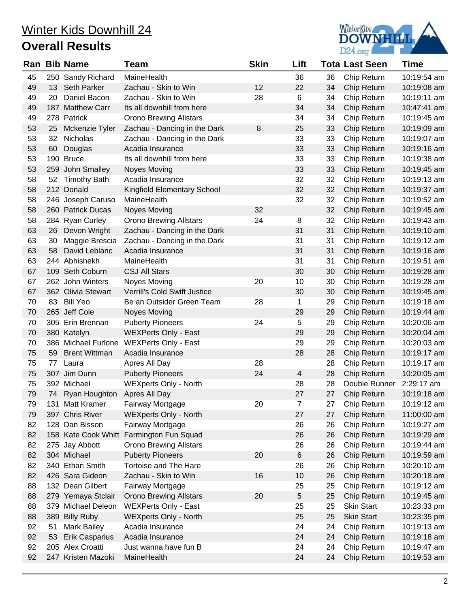

| Ran |     | <b>Bib Name</b>                | Team                                     | <b>Skin</b> | Lift           |    | <b>Tota Last Seen</b> | <b>Time</b> |
|-----|-----|--------------------------------|------------------------------------------|-------------|----------------|----|-----------------------|-------------|
| 45  |     | 250 Sandy Richard              | MaineHealth                              |             | 36             | 36 | Chip Return           | 10:19:54 am |
| 49  | 13. | <b>Seth Parker</b>             | Zachau - Skin to Win                     | 12          | 22             | 34 | Chip Return           | 10:19:08 am |
| 49  | 20  | Daniel Bacon                   | Zachau - Skin to Win                     | 28          | 6              | 34 | Chip Return           | 10:19:11 am |
| 49  |     | 187 Matthew Carr               | Its all downhill from here               |             | 34             | 34 | Chip Return           | 10:47:41 am |
| 49  |     | 278 Patrick                    | <b>Orono Brewing Allstars</b>            |             | 34             | 34 | Chip Return           | 10:19:45 am |
| 53  | 25  | Mckenzie Tyler                 | Zachau - Dancing in the Dark             | 8           | 25             | 33 | Chip Return           | 10:19:09 am |
| 53  | 32  | Nicholas                       | Zachau - Dancing in the Dark             |             | 33             | 33 | Chip Return           | 10:19:07 am |
| 53  | 60  | Douglas                        | Acadia Insurance                         |             | 33             | 33 | Chip Return           | 10:19:16 am |
| 53  |     | 190 Bruce                      | Its all downhill from here               |             | 33             | 33 | Chip Return           | 10:19:38 am |
| 53  |     | 259 John Smalley               | <b>Noyes Moving</b>                      |             | 33             | 33 | Chip Return           | 10:19:45 am |
| 58  | 52  | <b>Timothy Bath</b>            | Acadia Insurance                         |             | 32             | 32 | Chip Return           | 10:19:13 am |
| 58  |     | 212 Donald                     | Kingfield Elementary School              |             | 32             | 32 | Chip Return           | 10:19:37 am |
| 58  |     | 246 Joseph Caruso              | MaineHealth                              |             | 32             | 32 | Chip Return           | 10:19:52 am |
| 58  |     | 260 Patrick Ducas              | <b>Noyes Moving</b>                      | 32          |                | 32 | Chip Return           | 10:19:45 am |
| 58  |     | 284 Ryan Curley                | <b>Orono Brewing Allstars</b>            | 24          | 8              | 32 | Chip Return           | 10:19:43 am |
| 63  | 26  | Devon Wright                   | Zachau - Dancing in the Dark             |             | 31             | 31 | Chip Return           | 10:19:10 am |
| 63  | 30  | Maggie Brescia                 | Zachau - Dancing in the Dark             |             | 31             | 31 | Chip Return           | 10:19:12 am |
| 63  | 58  | David Leblanc                  | Acadia Insurance                         |             | 31             | 31 | Chip Return           | 10:19:16 am |
| 63  |     | 244 Abhishekh                  | MaineHealth                              |             | 31             | 31 | Chip Return           | 10:19:51 am |
| 67  |     | 109 Seth Coburn                | <b>CSJ All Stars</b>                     |             | 30             | 30 | Chip Return           | 10:19:28 am |
| 67  |     | 262 John Winters               | Noyes Moving                             | 20          | 10             | 30 | Chip Return           | 10:19:28 am |
| 67  |     | 362 Olivia Stewart             | <b>Verrill's Cold Swift Justice</b>      |             | 30             | 30 | Chip Return           | 10:19:45 am |
| 70  | 83  | <b>Bill Yeo</b>                | Be an Outsider Green Team                | 28          | $\mathbf{1}$   | 29 | Chip Return           | 10:19:18 am |
| 70  |     | 265 Jeff Cole                  | <b>Noyes Moving</b>                      |             | 29             | 29 | Chip Return           | 10:19:44 am |
| 70  |     | 305 Erin Brennan               | <b>Puberty Pioneers</b>                  | 24          | 5              | 29 | Chip Return           | 10:20:06 am |
| 70  |     | 380 Katelyn                    | <b>WEXPerts Only - East</b>              |             | 29             | 29 | Chip Return           | 10:20:04 am |
| 70  |     | 386 Michael Furlone            | <b>WEXPerts Only - East</b>              |             | 29             | 29 | Chip Return           | 10:20:03 am |
| 75  | 59  | <b>Brent Wittman</b>           | Acadia Insurance                         |             | 28             | 28 | Chip Return           | 10:19:17 am |
| 75  | 77  | Laura                          | Apres All Day                            | 28          |                | 28 | Chip Return           | 10:19:17 am |
| 75  |     | 307 Jim Dunn                   | <b>Puberty Pioneers</b>                  | 24          | $\overline{4}$ | 28 | Chip Return           | 10:20:05 am |
| 75  |     | 392 Michael                    | <b>WEXperts Only - North</b>             |             | 28             | 28 | Double Runner         | 2:29:17 am  |
| 79  |     | 74 Ryan Houghton Apres All Day |                                          |             | 27             | 27 | Chip Return           | 10:19:18 am |
| 79  |     | 131 Matt Kramer                | Fairway Mortgage                         | 20          | $\overline{7}$ | 27 | Chip Return           | 10:19:12 am |
| 79  |     | 397 Chris River                | <b>WEXperts Only - North</b>             |             | 27             | 27 | Chip Return           | 11:00:00 am |
| 82  |     | 128 Dan Bisson                 | Fairway Mortgage                         |             | 26             | 26 | Chip Return           | 10:19:27 am |
| 82  |     |                                | 158 Kate Cook Whitt Farmington Fun Squad |             | 26             | 26 | Chip Return           | 10:19:29 am |
| 82  |     | 275 Jay Abbott                 | <b>Orono Brewing Allstars</b>            |             | 26             | 26 | Chip Return           | 10:19:44 am |
| 82  |     | 304 Michael                    | <b>Puberty Pioneers</b>                  | 20          | $\,6$          | 26 | Chip Return           | 10:19:59 am |
| 82  |     | 340 Ethan Smith                | Tortoise and The Hare                    |             | 26             | 26 | Chip Return           | 10:20:10 am |
| 82  |     | 426 Sara Gideon                | Zachau - Skin to Win                     | 16          | 10             | 26 | Chip Return           | 10:20:18 am |
| 88  |     | 132 Dean Gilbert               | Fairway Mortgage                         |             | 25             | 25 | Chip Return           | 10:19:12 am |
| 88  |     | 279 Yemaya Stclair             | <b>Orono Brewing Allstars</b>            | 20          | 5              | 25 | Chip Return           | 10:19:45 am |
| 88  |     | 379 Michael Deleon             | <b>WEXPerts Only - East</b>              |             | 25             | 25 | <b>Skin Start</b>     | 10:23:33 pm |
| 88  |     | 389 Billy Ruby                 | <b>WEXperts Only - North</b>             |             | 25             | 25 | <b>Skin Start</b>     | 10:23:35 pm |
| 92  | 51  | <b>Mark Bailey</b>             | Acadia Insurance                         |             | 24             | 24 | Chip Return           | 10:19:13 am |
| 92  | 53  | <b>Erik Casparius</b>          | Acadia Insurance                         |             | 24             | 24 | Chip Return           | 10:19:18 am |
| 92  |     | 205 Alex Croatti               | Just wanna have fun B                    |             | 24             | 24 | Chip Return           | 10:19:47 am |
| 92  |     | 247 Kristen Mazoki             | MaineHealth                              |             | 24             | 24 | Chip Return           | 10:19:53 am |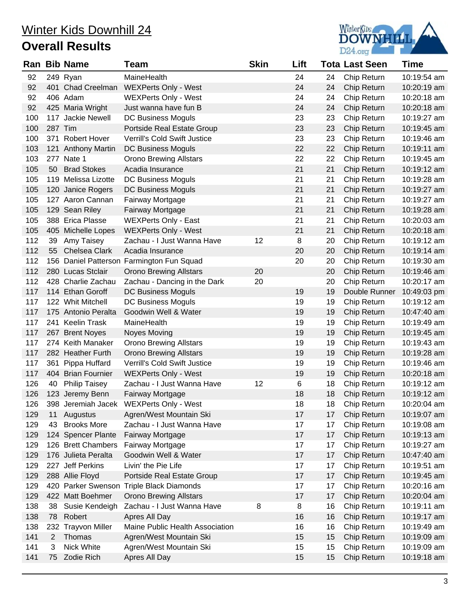

|     |         | <b>Ran Bib Name</b>  | Team                                      | <b>Skin</b> | Lift |    | <b>Tota Last Seen</b> | <b>Time</b> |
|-----|---------|----------------------|-------------------------------------------|-------------|------|----|-----------------------|-------------|
| 92  |         | 249 Ryan             | MaineHealth                               |             | 24   | 24 | Chip Return           | 10:19:54 am |
| 92  |         | 401 Chad Creelman    | <b>WEXPerts Only - West</b>               |             | 24   | 24 | Chip Return           | 10:20:19 am |
| 92  |         | 406 Adam             | <b>WEXPerts Only - West</b>               |             | 24   | 24 | Chip Return           | 10:20:18 am |
| 92  |         | 425 Maria Wright     | Just wanna have fun B                     |             | 24   | 24 | Chip Return           | 10:20:18 am |
| 100 |         | 117 Jackie Newell    | DC Business Moguls                        |             | 23   | 23 | Chip Return           | 10:19:27 am |
| 100 | 287 Tim |                      | Portside Real Estate Group                |             | 23   | 23 | Chip Return           | 10:19:45 am |
| 100 |         | 371 Robert Hover     | <b>Verrill's Cold Swift Justice</b>       |             | 23   | 23 | Chip Return           | 10:19:46 am |
| 103 |         | 121 Anthony Martin   | <b>DC Business Moguls</b>                 |             | 22   | 22 | Chip Return           | 10:19:11 am |
| 103 |         | 277 Nate 1           | <b>Orono Brewing Allstars</b>             |             | 22   | 22 | Chip Return           | 10:19:45 am |
| 105 | 50      | <b>Brad Stokes</b>   | Acadia Insurance                          |             | 21   | 21 | Chip Return           | 10:19:12 am |
| 105 |         | 119 Melissa Lizotte  | DC Business Moguls                        |             | 21   | 21 | Chip Return           | 10:19:28 am |
| 105 |         | 120 Janice Rogers    | DC Business Moguls                        |             | 21   | 21 | Chip Return           | 10:19:27 am |
| 105 |         | 127 Aaron Cannan     | Fairway Mortgage                          |             | 21   | 21 | Chip Return           | 10:19:27 am |
| 105 |         | 129 Sean Riley       | Fairway Mortgage                          |             | 21   | 21 | Chip Return           | 10:19:28 am |
| 105 |         | 388 Erica Plasse     | <b>WEXPerts Only - East</b>               |             | 21   | 21 | Chip Return           | 10:20:03 am |
| 105 |         | 405 Michelle Lopes   | <b>WEXPerts Only - West</b>               |             | 21   | 21 | Chip Return           | 10:20:18 am |
| 112 | 39      | Amy Taisey           | Zachau - I Just Wanna Have                | 12          | 8    | 20 | Chip Return           | 10:19:12 am |
| 112 | 55      | <b>Chelsea Clark</b> | Acadia Insurance                          |             | 20   | 20 | Chip Return           | 10:19:14 am |
| 112 |         |                      | 156 Daniel Patterson Farmington Fun Squad |             | 20   | 20 | Chip Return           | 10:19:30 am |
| 112 |         | 280 Lucas Stclair    | <b>Orono Brewing Allstars</b>             | 20          |      | 20 | Chip Return           | 10:19:46 am |
| 112 |         | 428 Charlie Zachau   | Zachau - Dancing in the Dark              | 20          |      | 20 | Chip Return           | 10:20:17 am |
| 117 |         | 114 Ethan Goroff     | DC Business Moguls                        |             | 19   | 19 | Double Runner         | 10:49:03 pm |
| 117 |         | 122 Whit Mitchell    | DC Business Moguls                        |             | 19   | 19 | Chip Return           | 10:19:12 am |
| 117 |         | 175 Antonio Peralta  | Goodwin Well & Water                      |             | 19   | 19 | Chip Return           | 10:47:40 am |
| 117 |         | 241 Keelin Trask     | MaineHealth                               |             | 19   | 19 | Chip Return           | 10:19:49 am |
| 117 |         | 267 Brent Noyes      | <b>Noyes Moving</b>                       |             | 19   | 19 | Chip Return           | 10:19:45 am |
| 117 |         | 274 Keith Manaker    | <b>Orono Brewing Allstars</b>             |             | 19   | 19 | Chip Return           | 10:19:43 am |
| 117 |         | 282 Heather Furth    | <b>Orono Brewing Allstars</b>             |             | 19   | 19 | Chip Return           | 10:19:28 am |
| 117 |         | 361 Pippa Huffard    | Verrill's Cold Swift Justice              |             | 19   | 19 | Chip Return           | 10:19:46 am |
| 117 |         | 404 Brian Fournier   | <b>WEXPerts Only - West</b>               |             | 19   | 19 | Chip Return           | 10:20:18 am |
| 126 | 40      | <b>Philip Taisey</b> | Zachau - I Just Wanna Have                | 12          | 6    | 18 | Chip Return           | 10:19:12 am |
| 126 |         | 123 Jeremy Benn      | Fairway Mortgage                          |             | 18   | 18 | Chip Return           | 10:19:12 am |
| 126 |         |                      | 398 Jeremiah Jacek WEXPerts Only - West   |             | 18   | 18 | Chip Return           | 10:20:04 am |
| 129 | 11      | Augustus             | Agren/West Mountain Ski                   |             | 17   | 17 | Chip Return           | 10:19:07 am |
| 129 | 43      | <b>Brooks More</b>   | Zachau - I Just Wanna Have                |             | 17   | 17 | Chip Return           | 10:19:08 am |
| 129 |         | 124 Spencer Plante   | Fairway Mortgage                          |             | 17   | 17 | Chip Return           | 10:19:13 am |
| 129 |         | 126 Brett Chambers   | <b>Fairway Mortgage</b>                   |             | 17   | 17 | Chip Return           | 10:19:27 am |
| 129 |         | 176 Julieta Peralta  | Goodwin Well & Water                      |             | 17   | 17 | Chip Return           | 10:47:40 am |
| 129 |         | 227 Jeff Perkins     | Livin' the Pie Life                       |             | 17   | 17 | Chip Return           | 10:19:51 am |
| 129 |         | 288 Allie Floyd      | Portside Real Estate Group                |             | 17   | 17 | Chip Return           | 10:19:45 am |
| 129 |         |                      | 420 Parker Swenson Triple Black Diamonds  |             | 17   | 17 | Chip Return           | 10:20:16 am |
| 129 |         | 422 Matt Boehmer     | <b>Orono Brewing Allstars</b>             |             | 17   | 17 | Chip Return           | 10:20:04 am |
| 138 | 38      | Susie Kendeigh       | Zachau - I Just Wanna Have                | 8           | 8    | 16 | Chip Return           | 10:19:11 am |
| 138 | 78      | Robert               | Apres All Day                             |             | 16   | 16 | Chip Return           | 10:19:17 am |
| 138 | 232     | Trayvon Miller       | Maine Public Health Association           |             | 16   | 16 | Chip Return           | 10:19:49 am |
| 141 | 2       | Thomas               | Agren/West Mountain Ski                   |             | 15   | 15 | Chip Return           | 10:19:09 am |
| 141 | 3       | Nick White           | Agren/West Mountain Ski                   |             | 15   | 15 | Chip Return           | 10:19:09 am |
| 141 | 75      | Zodie Rich           | Apres All Day                             |             | 15   | 15 | Chip Return           | 10:19:18 am |
|     |         |                      |                                           |             |      |    |                       |             |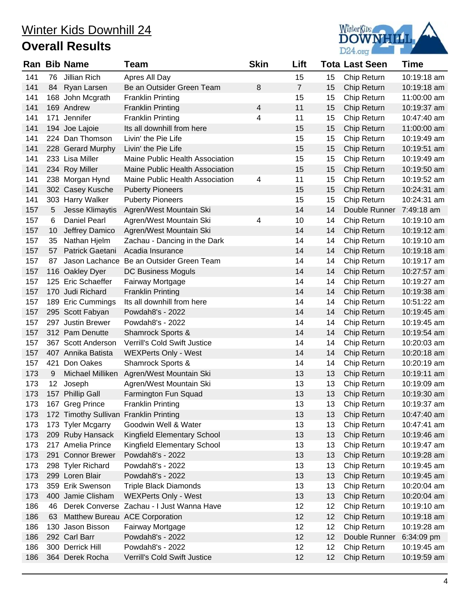

|     |                 | <b>Ran Bib Name</b>                    | Team                                      | <b>Skin</b> | Lift           |    | <b>Tota Last Seen</b> | <b>Time</b> |
|-----|-----------------|----------------------------------------|-------------------------------------------|-------------|----------------|----|-----------------------|-------------|
| 141 | 76              | Jillian Rich                           | Apres All Day                             |             | 15             | 15 | Chip Return           | 10:19:18 am |
| 141 | 84              | Ryan Larsen                            | Be an Outsider Green Team                 | 8           | $\overline{7}$ | 15 | Chip Return           | 10:19:18 am |
| 141 |                 | 168 John Mcgrath                       | <b>Franklin Printing</b>                  |             | 15             | 15 | Chip Return           | 11:00:00 am |
| 141 |                 | 169 Andrew                             | <b>Franklin Printing</b>                  | 4           | 11             | 15 | Chip Return           | 10:19:37 am |
| 141 |                 | 171 Jennifer                           | <b>Franklin Printing</b>                  | 4           | 11             | 15 | Chip Return           | 10:47:40 am |
| 141 |                 | 194 Joe Lajoie                         | Its all downhill from here                |             | 15             | 15 | Chip Return           | 11:00:00 am |
| 141 |                 | 224 Dan Thomson                        | Livin' the Pie Life                       |             | 15             | 15 | Chip Return           | 10:19:49 am |
| 141 |                 | 228 Gerard Murphy                      | Livin' the Pie Life                       |             | 15             | 15 | Chip Return           | 10:19:51 am |
| 141 |                 | 233 Lisa Miller                        | Maine Public Health Association           |             | 15             | 15 | Chip Return           | 10:19:49 am |
| 141 |                 | 234 Roy Miller                         | Maine Public Health Association           |             | 15             | 15 | Chip Return           | 10:19:50 am |
| 141 |                 | 238 Morgan Hynd                        | Maine Public Health Association           | 4           | 11             | 15 | Chip Return           | 10:19:52 am |
| 141 |                 | 302 Casey Kusche                       | <b>Puberty Pioneers</b>                   |             | 15             | 15 | Chip Return           | 10:24:31 am |
| 141 |                 | 303 Harry Walker                       | <b>Puberty Pioneers</b>                   |             | 15             | 15 | Chip Return           | 10:24:31 am |
| 157 | 5               | Jesse Klimaytis                        | Agren/West Mountain Ski                   |             | 14             | 14 | Double Runner         | 7:49:18 am  |
| 157 | 6               | <b>Daniel Pearl</b>                    | Agren/West Mountain Ski                   | 4           | 10             | 14 | Chip Return           | 10:19:10 am |
| 157 | 10              | Jeffrey Damico                         | Agren/West Mountain Ski                   |             | 14             | 14 | Chip Return           | 10:19:12 am |
| 157 | 35              | Nathan Hjelm                           | Zachau - Dancing in the Dark              |             | 14             | 14 | Chip Return           | 10:19:10 am |
| 157 | 57              | Patrick Gaetani                        | Acadia Insurance                          |             | 14             | 14 | Chip Return           | 10:19:18 am |
| 157 | 87              | Jason Lachance                         | Be an Outsider Green Team                 |             | 14             | 14 | Chip Return           | 10:19:17 am |
| 157 |                 | 116 Oakley Dyer                        | DC Business Moguls                        |             | 14             | 14 | Chip Return           | 10:27:57 am |
| 157 |                 | 125 Eric Schaeffer                     | Fairway Mortgage                          |             | 14             | 14 | Chip Return           | 10:19:27 am |
| 157 |                 | 170 Judi Richard                       | <b>Franklin Printing</b>                  |             | 14             | 14 | Chip Return           | 10:19:38 am |
| 157 |                 | 189 Eric Cummings                      | Its all downhill from here                |             | 14             | 14 | Chip Return           | 10:51:22 am |
| 157 |                 | 295 Scott Fabyan                       | Powdah8's - 2022                          |             | 14             | 14 | Chip Return           | 10:19:45 am |
| 157 |                 | 297 Justin Brewer                      | Powdah8's - 2022                          |             | 14             | 14 | Chip Return           | 10:19:45 am |
| 157 |                 | 312 Pam Denutte                        | Shamrock Sports &                         |             | 14             | 14 | Chip Return           | 10:19:54 am |
| 157 |                 | 367 Scott Anderson                     | Verrill's Cold Swift Justice              |             | 14             | 14 | Chip Return           | 10:20:03 am |
| 157 |                 | 407 Annika Batista                     | <b>WEXPerts Only - West</b>               |             | 14             | 14 | Chip Return           | 10:20:18 am |
| 157 |                 | 421 Don Oakes                          | Shamrock Sports &                         |             | 14             | 14 | Chip Return           | 10:20:19 am |
| 173 | 9               | Michael Milliken                       | Agren/West Mountain Ski                   |             | 13             | 13 | Chip Return           | 10:19:11 am |
| 173 | 12 <sub>2</sub> | Joseph                                 | Agren/West Mountain Ski                   |             | 13             | 13 | Chip Return           | 10:19:09 am |
| 173 |                 | 157 Phillip Gall                       | Farmington Fun Squad                      |             | 13             | 13 | Chip Return           | 10:19:30 am |
| 173 |                 | 167 Greg Prince                        | <b>Franklin Printing</b>                  |             | 13             | 13 | Chip Return           | 10:19:37 am |
| 173 |                 | 172 Timothy Sullivan Franklin Printing |                                           |             | 13             | 13 | Chip Return           | 10:47:40 am |
| 173 |                 | 173 Tyler Mcgarry                      | Goodwin Well & Water                      |             | 13             | 13 | Chip Return           | 10:47:41 am |
| 173 |                 | 209 Ruby Hansack                       | Kingfield Elementary School               |             | 13             | 13 | Chip Return           | 10:19:46 am |
| 173 |                 | 217 Amelia Prince                      | Kingfield Elementary School               |             | 13             | 13 | Chip Return           | 10:19:47 am |
| 173 |                 | 291 Connor Brewer                      | Powdah8's - 2022                          |             | 13             | 13 | Chip Return           | 10:19:28 am |
| 173 |                 | 298 Tyler Richard                      | Powdah8's - 2022                          |             | 13             | 13 | Chip Return           | 10:19:45 am |
| 173 |                 | 299 Loren Blair                        | Powdah8's - 2022                          |             | 13             | 13 | Chip Return           | 10:19:45 am |
| 173 |                 | 359 Erik Swenson                       | <b>Triple Black Diamonds</b>              |             | 13             | 13 | Chip Return           | 10:20:04 am |
| 173 |                 | 400 Jamie Clisham                      | <b>WEXPerts Only - West</b>               |             | 13             | 13 | Chip Return           | 10:20:04 am |
| 186 | 46              |                                        | Derek Converse Zachau - I Just Wanna Have |             | 12             | 12 | Chip Return           | 10:19:10 am |
| 186 | 63              |                                        | Matthew Bureau ACE Corporation            |             | 12             | 12 | Chip Return           | 10:19:18 am |
| 186 |                 | 130 Jason Bisson                       | Fairway Mortgage                          |             | 12             | 12 | Chip Return           | 10:19:28 am |
| 186 |                 | 292 Carl Barr                          | Powdah8's - 2022                          |             | 12             | 12 | Double Runner         | 6:34:09 pm  |
| 186 |                 | 300 Derrick Hill                       | Powdah8's - 2022                          |             | 12             | 12 | Chip Return           | 10:19:45 am |
| 186 |                 | 364 Derek Rocha                        | Verrill's Cold Swift Justice              |             | 12             | 12 | Chip Return           | 10:19:59 am |
|     |                 |                                        |                                           |             |                |    |                       |             |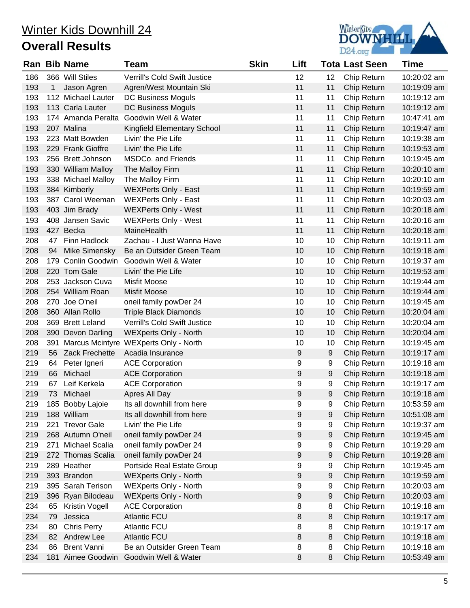

|     |    | <b>Ran Bib Name</b> | Team                                      | <b>Skin</b> | Lift             |    | <b>Tota Last Seen</b> | <b>Time</b> |
|-----|----|---------------------|-------------------------------------------|-------------|------------------|----|-----------------------|-------------|
| 186 |    | 366 Will Stiles     | Verrill's Cold Swift Justice              |             | 12               | 12 | Chip Return           | 10:20:02 am |
| 193 | 1  | Jason Agren         | Agren/West Mountain Ski                   |             | 11               | 11 | Chip Return           | 10:19:09 am |
| 193 |    | 112 Michael Lauter  | DC Business Moguls                        |             | 11               | 11 | Chip Return           | 10:19:12 am |
| 193 |    | 113 Carla Lauter    | <b>DC Business Moguls</b>                 |             | 11               | 11 | Chip Return           | 10:19:12 am |
| 193 |    | 174 Amanda Peralta  | Goodwin Well & Water                      |             | 11               | 11 | Chip Return           | 10:47:41 am |
| 193 |    | 207 Malina          | Kingfield Elementary School               |             | 11               | 11 | Chip Return           | 10:19:47 am |
| 193 |    | 223 Matt Bowden     | Livin' the Pie Life                       |             | 11               | 11 | Chip Return           | 10:19:38 am |
| 193 |    | 229 Frank Gioffre   | Livin' the Pie Life                       |             | 11               | 11 | Chip Return           | 10:19:53 am |
| 193 |    | 256 Brett Johnson   | <b>MSDCo. and Friends</b>                 |             | 11               | 11 | Chip Return           | 10:19:45 am |
| 193 |    | 330 William Malloy  | The Malloy Firm                           |             | 11               | 11 | Chip Return           | 10:20:10 am |
| 193 |    | 338 Michael Malloy  | The Malloy Firm                           |             | 11               | 11 | Chip Return           | 10:20:10 am |
| 193 |    | 384 Kimberly        | <b>WEXPerts Only - East</b>               |             | 11               | 11 | Chip Return           | 10:19:59 am |
| 193 |    | 387 Carol Weeman    | <b>WEXPerts Only - East</b>               |             | 11               | 11 | Chip Return           | 10:20:03 am |
| 193 |    | 403 Jim Brady       | <b>WEXPerts Only - West</b>               |             | 11               | 11 | Chip Return           | 10:20:18 am |
| 193 |    | 408 Jansen Savic    | <b>WEXPerts Only - West</b>               |             | 11               | 11 | Chip Return           | 10:20:16 am |
| 193 |    | 427 Becka           | MaineHealth                               |             | 11               | 11 | Chip Return           | 10:20:18 am |
| 208 |    | 47 Finn Hadlock     | Zachau - I Just Wanna Have                |             | 10               | 10 | Chip Return           | 10:19:11 am |
| 208 | 94 | Mike Simensky       | Be an Outsider Green Team                 |             | 10               | 10 | Chip Return           | 10:19:18 am |
| 208 |    | 179 Conlin Goodwin  | Goodwin Well & Water                      |             | 10               | 10 | Chip Return           | 10:19:37 am |
| 208 |    | 220 Tom Gale        | Livin' the Pie Life                       |             | 10               | 10 | Chip Return           | 10:19:53 am |
| 208 |    | 253 Jackson Cuva    | Misfit Moose                              |             | 10               | 10 | Chip Return           | 10:19:44 am |
| 208 |    | 254 William Roan    | <b>Misfit Moose</b>                       |             | 10               | 10 | Chip Return           | 10:19:44 am |
| 208 |    | 270 Joe O'neil      | oneil family powDer 24                    |             | 10               | 10 | Chip Return           | 10:19:45 am |
| 208 |    | 360 Allan Rollo     | <b>Triple Black Diamonds</b>              |             | 10               | 10 | Chip Return           | 10:20:04 am |
| 208 |    | 369 Brett Leland    | <b>Verrill's Cold Swift Justice</b>       |             | 10               | 10 | Chip Return           | 10:20:04 am |
| 208 |    | 390 Devon Darling   | <b>WEXperts Only - North</b>              |             | 10               | 10 | Chip Return           | 10:20:04 am |
| 208 |    |                     | 391 Marcus Mcintyre WEXperts Only - North |             | 10               | 10 | Chip Return           | 10:19:45 am |
| 219 |    | 56 Zack Frechette   | Acadia Insurance                          |             | $\boldsymbol{9}$ | 9  | Chip Return           | 10:19:17 am |
| 219 | 64 | Peter Igneri        | <b>ACE Corporation</b>                    |             | 9                | 9  | Chip Return           | 10:19:18 am |
| 219 | 66 | Michael             | <b>ACE Corporation</b>                    |             | 9                | 9  | Chip Return           | 10:19:18 am |
| 219 | 67 | Leif Kerkela        | <b>ACE Corporation</b>                    |             | 9                | 9  | Chip Return           | 10:19:17 am |
| 219 | 73 | Michael             | Apres All Day                             |             | 9                | 9  | Chip Return           | 10:19:18 am |
| 219 |    | 185 Bobby Lajoie    | Its all downhill from here                |             | 9                | 9  | Chip Return           | 10:53:59 am |
| 219 |    | 188 William         | Its all downhill from here                |             | 9                | 9  | Chip Return           | 10:51:08 am |
| 219 |    | 221 Trevor Gale     | Livin' the Pie Life                       |             | 9                | 9  | Chip Return           | 10:19:37 am |
| 219 |    | 268 Autumn O'neil   | oneil family powDer 24                    |             | 9                | 9  | Chip Return           | 10:19:45 am |
| 219 |    | 271 Michael Scalia  | oneil family powDer 24                    |             | 9                | 9  | Chip Return           | 10:19:29 am |
| 219 |    | 272 Thomas Scalia   | oneil family powDer 24                    |             | 9                | 9  | Chip Return           | 10:19:28 am |
| 219 |    | 289 Heather         | Portside Real Estate Group                |             | 9                | 9  | Chip Return           | 10:19:45 am |
| 219 |    | 393 Brandon         | <b>WEXperts Only - North</b>              |             | 9                | 9  | Chip Return           | 10:19:59 am |
| 219 |    | 395 Sarah Terison   | <b>WEXperts Only - North</b>              |             | 9                | 9  | Chip Return           | 10:20:03 am |
| 219 |    | 396 Ryan Bilodeau   | <b>WEXperts Only - North</b>              |             | 9                | 9  | Chip Return           | 10:20:03 am |
| 234 | 65 | Kristin Vogell      | <b>ACE Corporation</b>                    |             | 8                | 8  | Chip Return           | 10:19:18 am |
| 234 | 79 | Jessica             | <b>Atlantic FCU</b>                       |             | 8                | 8  | Chip Return           | 10:19:17 am |
| 234 | 80 | <b>Chris Perry</b>  | <b>Atlantic FCU</b>                       |             | 8                | 8  | Chip Return           | 10:19:17 am |
| 234 |    | 82 Andrew Lee       | <b>Atlantic FCU</b>                       |             | 8                | 8  | Chip Return           | 10:19:18 am |
| 234 | 86 | <b>Brent Vanni</b>  | Be an Outsider Green Team                 |             | 8                | 8  | Chip Return           | 10:19:18 am |
| 234 |    | 181 Aimee Goodwin   | Goodwin Well & Water                      |             | 8                | 8  | Chip Return           | 10:53:49 am |
|     |    |                     |                                           |             |                  |    |                       |             |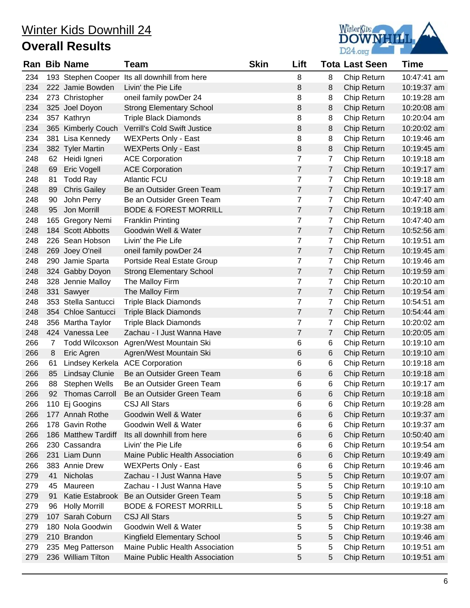

|     |                | Ran Bib Name          | Team                                          | <b>Skin</b> | Lift           |                | Tota Last Seen | Time        |
|-----|----------------|-----------------------|-----------------------------------------------|-------------|----------------|----------------|----------------|-------------|
| 234 |                |                       | 193 Stephen Cooper Its all downhill from here |             | 8              | 8              | Chip Return    | 10:47:41 am |
| 234 |                | 222 Jamie Bowden      | Livin' the Pie Life                           |             | 8              | 8              | Chip Return    | 10:19:37 am |
| 234 |                | 273 Christopher       | oneil family powDer 24                        |             | 8              | 8              | Chip Return    | 10:19:28 am |
| 234 |                | 325 Joel Doyon        | <b>Strong Elementary School</b>               |             | 8              | 8              | Chip Return    | 10:20:08 am |
| 234 |                | 357 Kathryn           | <b>Triple Black Diamonds</b>                  |             | 8              | 8              | Chip Return    | 10:20:04 am |
| 234 |                | 365 Kimberly Couch    | Verrill's Cold Swift Justice                  |             | 8              | 8              | Chip Return    | 10:20:02 am |
| 234 |                | 381 Lisa Kennedy      | <b>WEXPerts Only - East</b>                   |             | 8              | 8              | Chip Return    | 10:19:46 am |
| 234 |                | 382 Tyler Martin      | <b>WEXPerts Only - East</b>                   |             | 8              | 8              | Chip Return    | 10:19:45 am |
| 248 |                | 62 Heidi Igneri       | <b>ACE Corporation</b>                        |             | $\overline{7}$ | $\overline{7}$ | Chip Return    | 10:19:18 am |
| 248 | 69             | Eric Vogell           | <b>ACE Corporation</b>                        |             | $\overline{7}$ | $\overline{7}$ | Chip Return    | 10:19:17 am |
| 248 | 81             | <b>Todd Ray</b>       | <b>Atlantic FCU</b>                           |             | $\overline{7}$ | $\overline{7}$ | Chip Return    | 10:19:18 am |
| 248 | 89             | <b>Chris Gailey</b>   | Be an Outsider Green Team                     |             | $\overline{7}$ | $\overline{7}$ | Chip Return    | 10:19:17 am |
| 248 | 90             | John Perry            | Be an Outsider Green Team                     |             | $\overline{7}$ | $\overline{7}$ | Chip Return    | 10:47:40 am |
| 248 | 95             | Jon Morrill           | <b>BODE &amp; FOREST MORRILL</b>              |             | $\overline{7}$ | $\overline{7}$ | Chip Return    | 10:19:18 am |
| 248 |                | 165 Gregory Nemi      | <b>Franklin Printing</b>                      |             | $\overline{7}$ | $\overline{7}$ | Chip Return    | 10:47:40 am |
| 248 |                | 184 Scott Abbotts     | Goodwin Well & Water                          |             | $\overline{7}$ | $\overline{7}$ | Chip Return    | 10:52:56 am |
| 248 |                | 226 Sean Hobson       | Livin' the Pie Life                           |             | $\overline{7}$ | $\overline{7}$ | Chip Return    | 10:19:51 am |
| 248 |                | 269 Joey O'neil       | oneil family powDer 24                        |             | $\overline{7}$ | $\overline{7}$ | Chip Return    | 10:19:45 am |
| 248 |                | 290 Jamie Sparta      | Portside Real Estate Group                    |             | $\overline{7}$ | $\overline{7}$ | Chip Return    | 10:19:46 am |
| 248 |                | 324 Gabby Doyon       | <b>Strong Elementary School</b>               |             | $\overline{7}$ | $\overline{7}$ | Chip Return    | 10:19:59 am |
| 248 |                | 328 Jennie Malloy     | The Malloy Firm                               |             | $\overline{7}$ | 7              | Chip Return    | 10:20:10 am |
| 248 |                | 331 Sawyer            | The Malloy Firm                               |             | $\overline{7}$ | $\overline{7}$ | Chip Return    | 10:19:54 am |
| 248 |                | 353 Stella Santucci   | <b>Triple Black Diamonds</b>                  |             | $\overline{7}$ | $\overline{7}$ | Chip Return    | 10:54:51 am |
| 248 |                | 354 Chloe Santucci    | <b>Triple Black Diamonds</b>                  |             | $\overline{7}$ | $\overline{7}$ | Chip Return    | 10:54:44 am |
| 248 |                | 356 Martha Taylor     | <b>Triple Black Diamonds</b>                  |             | $\overline{7}$ | $\overline{7}$ | Chip Return    | 10:20:02 am |
| 248 |                | 424 Vanessa Lee       | Zachau - I Just Wanna Have                    |             | $\overline{7}$ | $\overline{7}$ | Chip Return    | 10:20:05 am |
| 266 | $\overline{7}$ | <b>Todd Wilcoxson</b> | Agren/West Mountain Ski                       |             | 6              | 6              | Chip Return    | 10:19:10 am |
| 266 | 8              | Eric Agren            | Agren/West Mountain Ski                       |             | 6              | 6              | Chip Return    | 10:19:10 am |
| 266 | 61             | Lindsey Kerkela       | <b>ACE Corporation</b>                        |             | 6              | 6              | Chip Return    | 10:19:18 am |
| 266 | 85             | <b>Lindsay Clunie</b> | Be an Outsider Green Team                     |             | 6              | 6              | Chip Return    | 10:19:18 am |
| 266 | 88             | Stephen Wells         | Be an Outsider Green Team                     |             | 6              | 6              | Chip Return    | 10:19:17 am |
| 266 | 92             | <b>Thomas Carroll</b> | Be an Outsider Green Team                     |             | 6              | 6              | Chip Return    | 10:19:18 am |
| 266 |                | 110 Ej Googins        | <b>CSJ All Stars</b>                          |             | 6              | 6              | Chip Return    | 10:19:28 am |
| 266 |                | 177 Annah Rothe       | Goodwin Well & Water                          |             | 6              | 6              | Chip Return    | 10:19:37 am |
| 266 |                | 178 Gavin Rothe       | Goodwin Well & Water                          |             | 6              | 6              | Chip Return    | 10:19:37 am |
| 266 |                | 186 Matthew Tardiff   | Its all downhill from here                    |             | 6              | 6              | Chip Return    | 10:50:40 am |
| 266 |                | 230 Cassandra         | Livin' the Pie Life                           |             | 6              | 6              | Chip Return    | 10:19:54 am |
| 266 |                | 231 Liam Dunn         | Maine Public Health Association               |             | 6              | 6              | Chip Return    | 10:19:49 am |
| 266 |                | 383 Annie Drew        | <b>WEXPerts Only - East</b>                   |             | 6              | 6              | Chip Return    | 10:19:46 am |
| 279 | 41             | Nicholas              | Zachau - I Just Wanna Have                    |             | 5              | 5              | Chip Return    | 10:19:07 am |
| 279 | 45             | Maureen               | Zachau - I Just Wanna Have                    |             | 5              | 5              | Chip Return    | 10:19:10 am |
| 279 | 91             | Katie Estabrook       | Be an Outsider Green Team                     |             | 5              | 5              | Chip Return    | 10:19:18 am |
| 279 | 96             | <b>Holly Morrill</b>  | <b>BODE &amp; FOREST MORRILL</b>              |             | 5              | 5              | Chip Return    | 10:19:18 am |
| 279 |                | 107 Sarah Coburn      | <b>CSJ All Stars</b>                          |             | 5              | 5              | Chip Return    | 10:19:27 am |
| 279 |                | 180 Nola Goodwin      | Goodwin Well & Water                          |             | 5              | 5              | Chip Return    | 10:19:38 am |
| 279 |                | 210 Brandon           | Kingfield Elementary School                   |             | 5              | 5              | Chip Return    | 10:19:46 am |
| 279 |                | 235 Meg Patterson     | Maine Public Health Association               |             | 5              | 5              | Chip Return    | 10:19:51 am |
| 279 |                | 236 William Tilton    | Maine Public Health Association               |             | 5              | 5              | Chip Return    | 10:19:51 am |
|     |                |                       |                                               |             |                |                |                |             |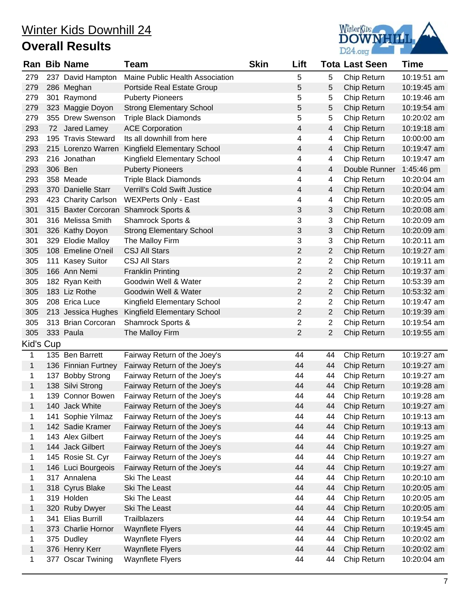

|              |         | <b>Ran Bib Name</b> | Team                            | <b>Skin</b> | Lift           |                | <b>Tota Last Seen</b> | Time        |
|--------------|---------|---------------------|---------------------------------|-------------|----------------|----------------|-----------------------|-------------|
| 279          |         | 237 David Hampton   | Maine Public Health Association |             | 5              | 5              | Chip Return           | 10:19:51 am |
| 279          |         | 286 Meghan          | Portside Real Estate Group      |             | 5              | 5              | Chip Return           | 10:19:45 am |
| 279          |         | 301 Raymond         | <b>Puberty Pioneers</b>         |             | 5              | 5              | Chip Return           | 10:19:46 am |
| 279          |         | 323 Maggie Doyon    | <b>Strong Elementary School</b> |             | 5              | 5              | Chip Return           | 10:19:54 am |
| 279          |         | 355 Drew Swenson    | <b>Triple Black Diamonds</b>    |             | 5              | 5              | Chip Return           | 10:20:02 am |
| 293          |         | 72 Jared Lamey      | <b>ACE Corporation</b>          |             | 4              | 4              | Chip Return           | 10:19:18 am |
| 293          |         | 195 Travis Steward  | Its all downhill from here      |             | 4              | 4              | Chip Return           | 10:00:00 am |
| 293          |         | 215 Lorenzo Warren  | Kingfield Elementary School     |             | 4              | 4              | Chip Return           | 10:19:47 am |
| 293          |         | 216 Jonathan        | Kingfield Elementary School     |             | 4              | 4              | Chip Return           | 10:19:47 am |
| 293          | 306 Ben |                     | <b>Puberty Pioneers</b>         |             | 4              | $\overline{4}$ | Double Runner         | 1:45:46 pm  |
| 293          |         | 358 Meade           | <b>Triple Black Diamonds</b>    |             | 4              | 4              | Chip Return           | 10:20:04 am |
| 293          |         | 370 Danielle Starr  | Verrill's Cold Swift Justice    |             | 4              | $\overline{4}$ | Chip Return           | 10:20:04 am |
| 293          |         | 423 Charity Carlson | <b>WEXPerts Only - East</b>     |             | 4              | $\overline{4}$ | Chip Return           | 10:20:05 am |
| 301          |         | 315 Baxter Corcoran | Shamrock Sports &               |             | 3              | 3              | Chip Return           | 10:20:08 am |
| 301          |         | 316 Melissa Smith   | Shamrock Sports &               |             | 3              | 3              | Chip Return           | 10:20:09 am |
| 301          |         | 326 Kathy Doyon     | <b>Strong Elementary School</b> |             | 3              | 3              | Chip Return           | 10:20:09 am |
| 301          |         | 329 Elodie Malloy   | The Malloy Firm                 |             | 3              | 3              | Chip Return           | 10:20:11 am |
| 305          |         | 108 Emeline O'neil  | <b>CSJ All Stars</b>            |             | $\overline{2}$ | $\overline{2}$ | Chip Return           | 10:19:27 am |
| 305          |         | 111 Kasey Suitor    | <b>CSJ All Stars</b>            |             | 2              | 2              | Chip Return           | 10:19:11 am |
| 305          |         | 166 Ann Nemi        | <b>Franklin Printing</b>        |             | $\overline{2}$ | $\overline{2}$ | Chip Return           | 10:19:37 am |
| 305          |         | 182 Ryan Keith      | Goodwin Well & Water            |             | $\overline{2}$ | $\overline{2}$ | Chip Return           | 10:53:39 am |
| 305          |         | 183 Liz Rothe       | Goodwin Well & Water            |             | $\overline{2}$ | $\overline{2}$ | Chip Return           | 10:53:32 am |
| 305          |         | 208 Erica Luce      | Kingfield Elementary School     |             | $\overline{2}$ | 2              | Chip Return           | 10:19:47 am |
| 305          |         | 213 Jessica Hughes  | Kingfield Elementary School     |             | $\mathbf{2}$   | 2              | Chip Return           | 10:19:39 am |
| 305          |         | 313 Brian Corcoran  | Shamrock Sports &               |             | $\overline{2}$ | 2              | Chip Return           | 10:19:54 am |
| 305          |         | 333 Paula           | The Malloy Firm                 |             | $\overline{2}$ | $\overline{2}$ | Chip Return           | 10:19:55 am |
| Kid's Cup    |         |                     |                                 |             |                |                |                       |             |
| 1            |         | 135 Ben Barrett     | Fairway Return of the Joey's    |             | 44             | 44             | Chip Return           | 10:19:27 am |
| $\mathbf{1}$ |         | 136 Finnian Furtney | Fairway Return of the Joey's    |             | 44             | 44             | Chip Return           | 10:19:27 am |
| 1            |         | 137 Bobby Strong    | Fairway Return of the Joey's    |             | 44             | 44             | Chip Return           | 10:19:27 am |
| 1            |         | 138 Silvi Strong    | Fairway Return of the Joey's    |             | 44             | 44             | Chip Return           | 10:19:28 am |
| 1            |         | 139 Connor Bowen    | Fairway Return of the Joey's    |             | 44             | 44             | Chip Return           | 10:19:28 am |
| 1            |         | 140 Jack White      | Fairway Return of the Joey's    |             | 44             | 44             | Chip Return           | 10:19:27 am |
| 1            |         | 141 Sophie Yilmaz   | Fairway Return of the Joey's    |             | 44             | 44             | Chip Return           | 10:19:13 am |
| 1            |         | 142 Sadie Kramer    | Fairway Return of the Joey's    |             | 44             | 44             | Chip Return           | 10:19:13 am |
| 1            |         | 143 Alex Gilbert    | Fairway Return of the Joey's    |             | 44             | 44             | Chip Return           | 10:19:25 am |
| 1            |         | 144 Jack Gilbert    | Fairway Return of the Joey's    |             | 44             | 44             | Chip Return           | 10:19:27 am |
| 1            |         | 145 Rosie St. Cyr   | Fairway Return of the Joey's    |             | 44             | 44             | Chip Return           | 10:19:27 am |
| $\mathbf{1}$ |         | 146 Luci Bourgeois  | Fairway Return of the Joey's    |             | 44             | 44             | Chip Return           | 10:19:27 am |
| 1            |         | 317 Annalena        | Ski The Least                   |             | 44             | 44             | Chip Return           | 10:20:10 am |
| 1            |         | 318 Cyrus Blake     | Ski The Least                   |             | 44             | 44             | Chip Return           | 10:20:05 am |
| 1            |         | 319 Holden          | Ski The Least                   |             | 44             | 44             | Chip Return           | 10:20:05 am |
| $\mathbf{1}$ |         | 320 Ruby Dwyer      | Ski The Least                   |             | 44             | 44             | Chip Return           | 10:20:05 am |
| 1            |         | 341 Elias Burrill   | Trailblazers                    |             | 44             | 44             | Chip Return           | 10:19:54 am |
| 1            |         | 373 Charlie Hornor  | <b>Waynflete Flyers</b>         |             | 44             | 44             | Chip Return           | 10:19:45 am |
| 1            |         | 375 Dudley          | <b>Waynflete Flyers</b>         |             | 44             | 44             | Chip Return           | 10:20:02 am |
| $\mathbf{1}$ |         | 376 Henry Kerr      | <b>Waynflete Flyers</b>         |             | 44             | 44             | Chip Return           | 10:20:02 am |
| 1            |         | 377 Oscar Twining   | <b>Waynflete Flyers</b>         |             | 44             | 44             | Chip Return           | 10:20:04 am |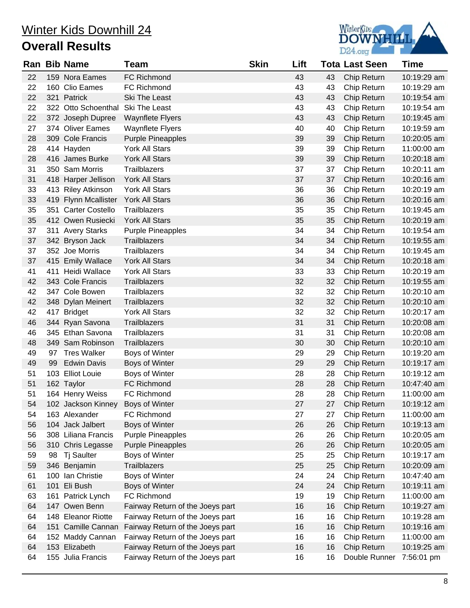

|    |    | Ran Bib Name                      | Team                             | <b>Skin</b> | Lift |    | <b>Tota Last Seen</b> | <b>Time</b> |
|----|----|-----------------------------------|----------------------------------|-------------|------|----|-----------------------|-------------|
| 22 |    | 159 Nora Eames                    | FC Richmond                      |             | 43   | 43 | Chip Return           | 10:19:29 am |
| 22 |    | 160 Clio Eames                    | FC Richmond                      |             | 43   | 43 | Chip Return           | 10:19:29 am |
| 22 |    | 321 Patrick                       | Ski The Least                    |             | 43   | 43 | Chip Return           | 10:19:54 am |
| 22 |    | 322 Otto Schoenthal               | Ski The Least                    |             | 43   | 43 | Chip Return           | 10:19:54 am |
| 22 |    | 372 Joseph Dupree                 | <b>Waynflete Flyers</b>          |             | 43   | 43 | Chip Return           | 10:19:45 am |
| 27 |    | 374 Oliver Eames                  | <b>Waynflete Flyers</b>          |             | 40   | 40 | Chip Return           | 10:19:59 am |
| 28 |    | 309 Cole Francis                  | <b>Purple Pineapples</b>         |             | 39   | 39 | Chip Return           | 10:20:05 am |
| 28 |    | 414 Hayden                        | York All Stars                   |             | 39   | 39 | Chip Return           | 11:00:00 am |
| 28 |    | 416 James Burke                   | York All Stars                   |             | 39   | 39 | Chip Return           | 10:20:18 am |
| 31 |    | 350 Sam Morris                    | Trailblazers                     |             | 37   | 37 | Chip Return           | 10:20:11 am |
| 31 |    | 418 Harper Jellison               | York All Stars                   |             | 37   | 37 | Chip Return           | 10:20:16 am |
| 33 |    | 413 Riley Atkinson                | York All Stars                   |             | 36   | 36 | Chip Return           | 10:20:19 am |
| 33 |    | 419 Flynn Mcallister              | York All Stars                   |             | 36   | 36 | Chip Return           | 10:20:16 am |
| 35 |    | 351 Carter Costello               | Trailblazers                     |             | 35   | 35 | Chip Return           | 10:19:45 am |
| 35 |    | 412 Owen Rusiecki                 | York All Stars                   |             | 35   | 35 | Chip Return           | 10:20:19 am |
| 37 |    | 311 Avery Starks                  | <b>Purple Pineapples</b>         |             | 34   | 34 | Chip Return           | 10:19:54 am |
| 37 |    | 342 Bryson Jack                   | Trailblazers                     |             | 34   | 34 | Chip Return           | 10:19:55 am |
| 37 |    | 352 Joe Morris                    | Trailblazers                     |             | 34   | 34 | Chip Return           | 10:19:45 am |
| 37 |    | 415 Emily Wallace                 | York All Stars                   |             | 34   | 34 | Chip Return           | 10:20:18 am |
| 41 |    | 411 Heidi Wallace                 | York All Stars                   |             | 33   | 33 | Chip Return           | 10:20:19 am |
| 42 |    | 343 Cole Francis                  | Trailblazers                     |             | 32   | 32 | Chip Return           | 10:19:55 am |
| 42 |    | 347 Cole Bowen                    | Trailblazers                     |             | 32   | 32 | Chip Return           | 10:20:10 am |
| 42 |    | 348 Dylan Meinert                 | Trailblazers                     |             | 32   | 32 | Chip Return           | 10:20:10 am |
| 42 |    | 417 Bridget                       | York All Stars                   |             | 32   | 32 | Chip Return           | 10:20:17 am |
| 46 |    | 344 Ryan Savona                   | Trailblazers                     |             | 31   | 31 | Chip Return           | 10:20:08 am |
| 46 |    | 345 Ethan Savona                  | Trailblazers                     |             | 31   | 31 | Chip Return           | 10:20:08 am |
| 48 |    | 349 Sam Robinson                  | <b>Trailblazers</b>              |             | 30   | 30 | Chip Return           | 10:20:10 am |
| 49 |    | 97 Tres Walker                    | Boys of Winter                   |             | 29   | 29 | Chip Return           | 10:19:20 am |
| 49 | 99 | <b>Edwin Davis</b>                | Boys of Winter                   |             | 29   | 29 | Chip Return           | 10:19:17 am |
| 51 |    | 103 Elliot Louie                  | Boys of Winter                   |             | 28   | 28 | Chip Return           | 10:19:12 am |
| 51 |    | 162 Taylor                        | FC Richmond                      |             | 28   | 28 | Chip Return           | 10:47:40 am |
| 51 |    | 164 Henry Weiss                   | FC Richmond                      |             | 28   | 28 | Chip Return           | 11:00:00 am |
| 54 |    | 102 Jackson Kinney Boys of Winter |                                  |             | 27   |    | 27 Chip Return        | 10:19:12 am |
| 54 |    | 163 Alexander                     | FC Richmond                      |             | 27   | 27 | Chip Return           | 11:00:00 am |
| 56 |    | 104 Jack Jalbert                  | Boys of Winter                   |             | 26   | 26 | Chip Return           | 10:19:13 am |
| 56 |    | 308 Liliana Francis               | <b>Purple Pineapples</b>         |             | 26   | 26 | Chip Return           | 10:20:05 am |
| 56 |    | 310 Chris Legasse                 | <b>Purple Pineapples</b>         |             | 26   | 26 | Chip Return           | 10:20:05 am |
| 59 | 98 | Tj Saulter                        | Boys of Winter                   |             | 25   | 25 | Chip Return           | 10:19:17 am |
| 59 |    | 346 Benjamin                      | Trailblazers                     |             | 25   | 25 | Chip Return           | 10:20:09 am |
| 61 |    | 100 Ian Christie                  | Boys of Winter                   |             | 24   | 24 | Chip Return           | 10:47:40 am |
| 61 |    | 101 Eli Bush                      | Boys of Winter                   |             | 24   | 24 | Chip Return           | 10:19:11 am |
| 63 |    | 161 Patrick Lynch                 | FC Richmond                      |             | 19   | 19 | Chip Return           | 11:00:00 am |
| 64 |    | 147 Owen Benn                     | Fairway Return of the Joeys part |             | 16   | 16 | Chip Return           | 10:19:27 am |
| 64 |    | 148 Eleanor Riotte                | Fairway Return of the Joeys part |             | 16   | 16 | Chip Return           | 10:19:28 am |
| 64 |    | 151 Camille Cannan                | Fairway Return of the Joeys part |             | 16   | 16 | Chip Return           | 10:19:16 am |
| 64 |    | 152 Maddy Cannan                  | Fairway Return of the Joeys part |             | 16   | 16 | Chip Return           | 11:00:00 am |
| 64 |    | 153 Elizabeth                     | Fairway Return of the Joeys part |             | 16   | 16 | Chip Return           | 10:19:25 am |
| 64 |    | 155 Julia Francis                 | Fairway Return of the Joeys part |             | 16   | 16 | Double Runner         | 7:56:01 pm  |